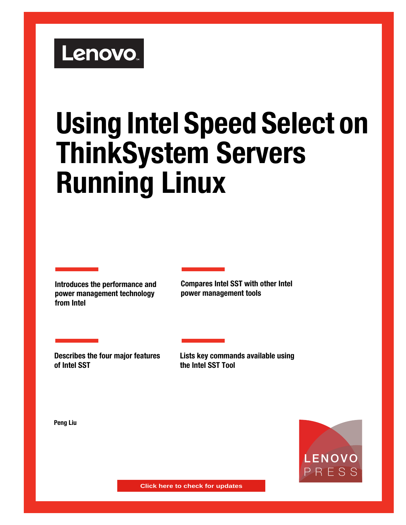# Lenovo.

# **Using Intel Speed Select on ThinkSystem Servers Running Linux**

**Introduces the performance and power management technology from Intel**

**Compares Intel SST with other Intel power management tools**

**Describes the four major features of Intel SST**

**Lists key commands available using the Intel SST Tool**

**Peng Liu**



**Click here to check for updates**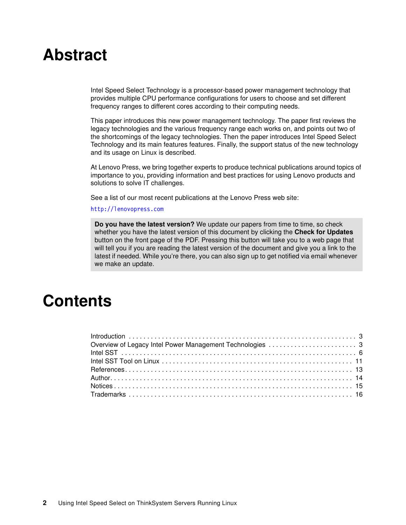# **Abstract**

Intel Speed Select Technology is a processor-based power management technology that provides multiple CPU performance configurations for users to choose and set different frequency ranges to different cores according to their computing needs.

This paper introduces this new power management technology. The paper first reviews the legacy technologies and the various frequency range each works on, and points out two of the shortcomings of the legacy technologies. Then the paper introduces Intel Speed Select Technology and its main features features. Finally, the support status of the new technology and its usage on Linux is described.

At Lenovo Press, we bring together experts to produce technical publications around topics of importance to you, providing information and best practices for using Lenovo products and solutions to solve IT challenges.

See a list of our most recent publications at the Lenovo Press web site:

#### <http://lenovopress.com>

**Do you have the latest version?** We update our papers from time to time, so check whether you have the latest version of this document by clicking the **Check for Updates** button on the front page of the PDF. Pressing this button will take you to a web page that will tell you if you are reading the latest version of the document and give you a link to the latest if needed. While you're there, you can also sign up to get notified via email whenever we make an update.

## **Contents**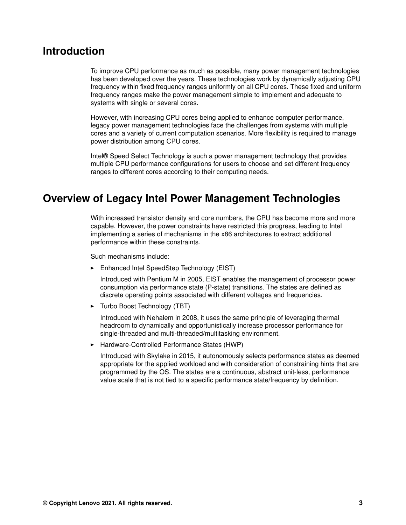### <span id="page-2-0"></span>**Introduction**

To improve CPU performance as much as possible, many power management technologies has been developed over the years. These technologies work by dynamically adjusting CPU frequency within fixed frequency ranges uniformly on all CPU cores. These fixed and uniform frequency ranges make the power management simple to implement and adequate to systems with single or several cores.

However, with increasing CPU cores being applied to enhance computer performance, legacy power management technologies face the challenges from systems with multiple cores and a variety of current computation scenarios. More flexibility is required to manage power distribution among CPU cores.

Intel® Speed Select Technology is such a power management technology that provides multiple CPU performance configurations for users to choose and set different frequency ranges to different cores according to their computing needs.

### <span id="page-2-1"></span>**Overview of Legacy Intel Power Management Technologies**

With increased transistor density and core numbers, the CPU has become more and more capable. However, the power constraints have restricted this progress, leading to Intel implementing a series of mechanisms in the x86 architectures to extract additional performance within these constraints.

Such mechanisms include:

- Enhanced Intel SpeedStep Technology (EIST)

Introduced with Pentium M in 2005, EIST enables the management of processor power consumption via performance state (P-state) transitions. The states are defined as discrete operating points associated with different voltages and frequencies.

► Turbo Boost Technology (TBT)

Introduced with Nehalem in 2008, it uses the same principle of leveraging thermal headroom to dynamically and opportunistically increase processor performance for single-threaded and multi-threaded/multitasking environment.

-Hardware-Controlled Performance States (HWP)

Introduced with Skylake in 2015, it autonomously selects performance states as deemed appropriate for the applied workload and with consideration of constraining hints that are programmed by the OS. The states are a continuous, abstract unit-less, performance value scale that is not tied to a specific performance state/frequency by definition.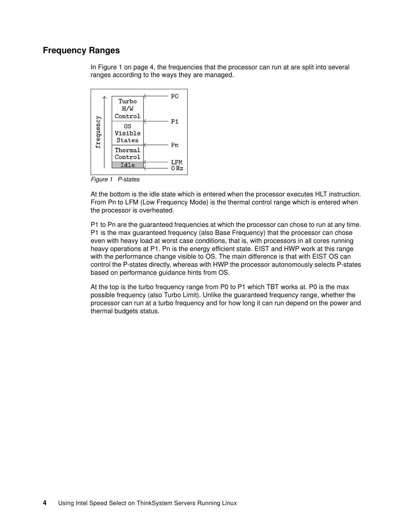### **Frequency Ranges**

In [Figure 1 on page 4,](#page-3-0) the frequencies that the processor can run at are split into several ranges according to the ways they are managed.



<span id="page-3-0"></span>*Figure 1 P-states*

At the bottom is the idle state which is entered when the processor executes HLT instruction. From Pn to LFM (Low Frequency Mode) is the thermal control range which is entered when the processor is overheated.

P1 to Pn are the guaranteed frequencies at which the processor can chose to run at any time. P1 is the max guaranteed frequency (also Base Frequency) that the processor can chose even with heavy load at worst case conditions, that is, with processors in all cores running heavy operations at P1. Pn is the energy efficient state. EIST and HWP work at this range with the performance change visible to OS. The main difference is that with EIST OS can control the P-states directly, whereas with HWP the processor autonomously selects P-states based on performance guidance hints from OS.

At the top is the turbo frequency range from P0 to P1 which TBT works at. P0 is the max possible frequency (also Turbo Limit). Unlike the guaranteed frequency range, whether the processor can run at a turbo frequency and for how long it can run depend on the power and thermal budgets status.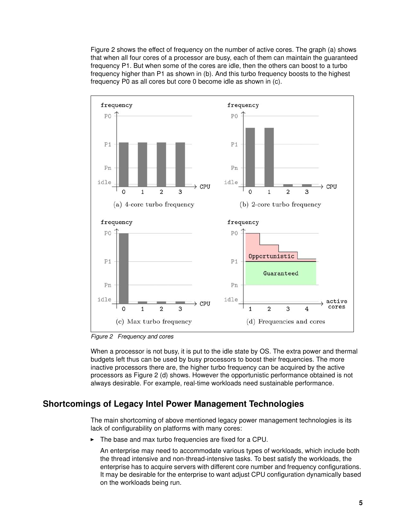[Figure 2](#page-4-0) shows the effect of frequency on the number of active cores. The graph (a) shows that when all four cores of a processor are busy, each of them can maintain the guaranteed frequency P1. But when some of the cores are idle, then the others can boost to a turbo frequency higher than P1 as shown in (b). And this turbo frequency boosts to the highest frequency P0 as all cores but core 0 become idle as shown in (c).



<span id="page-4-0"></span>*Figure 2 Frequency and cores*

When a processor is not busy, it is put to the idle state by OS. The extra power and thermal budgets left thus can be used by busy processors to boost their frequencies. The more inactive processors there are, the higher turbo frequency can be acquired by the active processors as [Figure 2](#page-4-0) (d) shows. However the opportunistic performance obtained is not always desirable. For example, real-time workloads need sustainable performance.

### **Shortcomings of Legacy Intel Power Management Technologies**

The main shortcoming of above mentioned legacy power management technologies is its lack of configurability on platforms with many cores:

-The base and max turbo frequencies are fixed for a CPU.

An enterprise may need to accommodate various types of workloads, which include both the thread intensive and non-thread-intensive tasks. To best satisfy the workloads, the enterprise has to acquire servers with different core number and frequency configurations. It may be desirable for the enterprise to want adjust CPU configuration dynamically based on the workloads being run.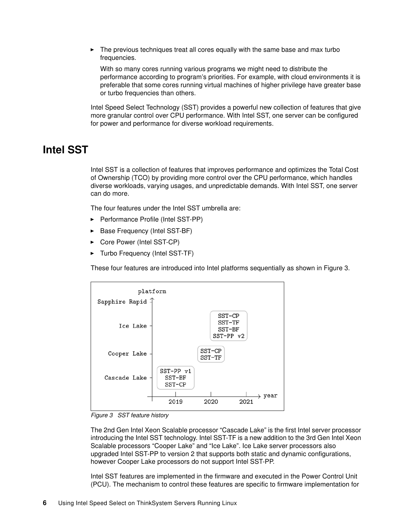- The previous techniques treat all cores equally with the same base and max turbo frequencies.

With so many cores running various programs we might need to distribute the performance according to program's priorities. For example, with cloud environments it is preferable that some cores running virtual machines of higher privilege have greater base or turbo frequencies than others.

Intel Speed Select Technology (SST) provides a powerful new collection of features that give more granular control over CPU performance. With Intel SST, one server can be configured for power and performance for diverse workload requirements.

### <span id="page-5-0"></span>**Intel SST**

Intel SST is a collection of features that improves performance and optimizes the Total Cost of Ownership (TCO) by providing more control over the CPU performance, which handles diverse workloads, varying usages, and unpredictable demands. With Intel SST, one server can do more.

The four features under the Intel SST umbrella are:

- ► Performance Profile (Intel SST-PP)
- -Base Frequency (Intel SST-BF)
- -Core Power (Intel SST-CP)
- -Turbo Frequency (Intel SST-TF)

These four features are introduced into Intel platforms sequentially as shown in [Figure 3](#page-5-1).



<span id="page-5-1"></span>*Figure 3 SST feature history*

The 2nd Gen Intel Xeon Scalable processor "Cascade Lake" is the first Intel server processor introducing the Intel SST technology. Intel SST-TF is a new addition to the 3rd Gen Intel Xeon Scalable processors "Cooper Lake" and "Ice Lake". Ice Lake server processors also upgraded Intel SST-PP to version 2 that supports both static and dynamic configurations, however Cooper Lake processors do not support Intel SST-PP.

Intel SST features are implemented in the firmware and executed in the Power Control Unit (PCU). The mechanism to control these features are specific to firmware implementation for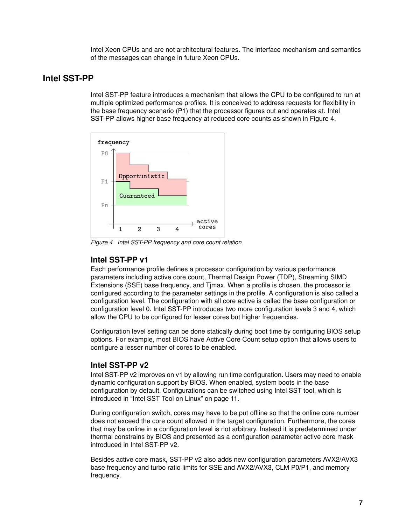Intel Xeon CPUs and are not architectural features. The interface mechanism and semantics of the messages can change in future Xeon CPUs.

### **Intel SST-PP**

Intel SST-PP feature introduces a mechanism that allows the CPU to be configured to run at multiple optimized performance profiles. It is conceived to address requests for flexibility in the base frequency scenario (P1) that the processor figures out and operates at. Intel SST-PP allows higher base frequency at reduced core counts as shown in [Figure 4](#page-6-0).



<span id="page-6-0"></span>*Figure 4 Intel SST-PP frequency and core count relation*

### **Intel SST-PP v1**

Each performance profile defines a processor configuration by various performance parameters including active core count, Thermal Design Power (TDP), Streaming SIMD Extensions (SSE) base frequency, and Tjmax. When a profile is chosen, the processor is configured according to the parameter settings in the profile. A configuration is also called a configuration level. The configuration with all core active is called the base configuration or configuration level 0. Intel SST-PP introduces two more configuration levels 3 and 4, which allow the CPU to be configured for lesser cores but higher frequencies.

Configuration level setting can be done statically during boot time by configuring BIOS setup options. For example, most BIOS have Active Core Count setup option that allows users to configure a lesser number of cores to be enabled.

### **Intel SST-PP v2**

Intel SST-PP v2 improves on v1 by allowing run time configuration. Users may need to enable dynamic configuration support by BIOS. When enabled, system boots in the base configuration by default. Configurations can be switched using Intel SST tool, which is introduced in ["Intel SST Tool on Linux" on page 11](#page-10-0).

During configuration switch, cores may have to be put offline so that the online core number does not exceed the core count allowed in the target configuration. Furthermore, the cores that may be online in a configuration level is not arbitrary. Instead it is predetermined under thermal constrains by BIOS and presented as a configuration parameter active core mask introduced in Intel SST-PP v2.

Besides active core mask, SST-PP v2 also adds new configuration parameters AVX2/AVX3 base frequency and turbo ratio limits for SSE and AVX2/AVX3, CLM P0/P1, and memory frequency.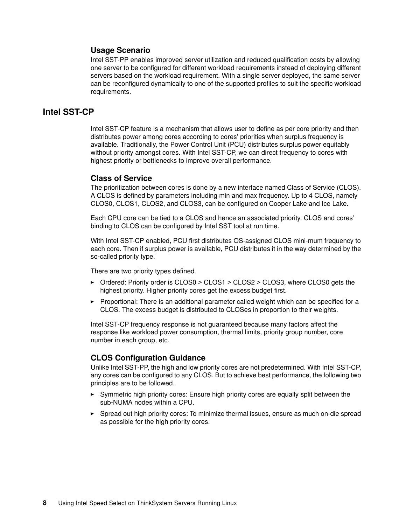### **Usage Scenario**

Intel SST-PP enables improved server utilization and reduced qualification costs by allowing one server to be configured for different workload requirements instead of deploying different servers based on the workload requirement. With a single server deployed, the same server can be reconfigured dynamically to one of the supported profiles to suit the specific workload requirements.

### **Intel SST-CP**

Intel SST-CP feature is a mechanism that allows user to define as per core priority and then distributes power among cores according to cores' priorities when surplus frequency is available. Traditionally, the Power Control Unit (PCU) distributes surplus power equitably without priority amongst cores. With Intel SST-CP, we can direct frequency to cores with highest priority or bottlenecks to improve overall performance.

### **Class of Service**

The prioritization between cores is done by a new interface named Class of Service (CLOS). A CLOS is defined by parameters including min and max frequency. Up to 4 CLOS, namely CLOS0, CLOS1, CLOS2, and CLOS3, can be configured on Cooper Lake and Ice Lake.

Each CPU core can be tied to a CLOS and hence an associated priority. CLOS and cores' binding to CLOS can be configured by Intel SST tool at run time.

With Intel SST-CP enabled, PCU first distributes OS-assigned CLOS mini-mum frequency to each core. Then if surplus power is available, PCU distributes it in the way determined by the so-called priority type.

There are two priority types defined.

- ► Ordered: Priority order is CLOS0 > CLOS1 > CLOS2 > CLOS3, where CLOS0 gets the highest priority. Higher priority cores get the excess budget first.
- ► Proportional: There is an additional parameter called weight which can be specified for a CLOS. The excess budget is distributed to CLOSes in proportion to their weights.

Intel SST-CP frequency response is not guaranteed because many factors affect the response like workload power consumption, thermal limits, priority group number, core number in each group, etc.

### **CLOS Configuration Guidance**

Unlike Intel SST-PP, the high and low priority cores are not predetermined. With Intel SST-CP, any cores can be configured to any CLOS. But to achieve best performance, the following two principles are to be followed.

- Symmetric high priority cores: Ensure high priority cores are equally split between the sub-NUMA nodes within a CPU.
- - Spread out high priority cores: To minimize thermal issues, ensure as much on-die spread as possible for the high priority cores.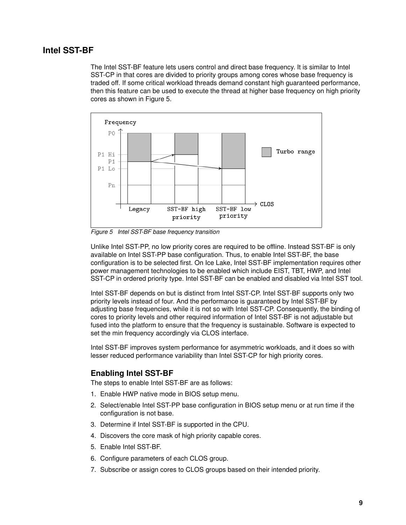### **Intel SST-BF**

The Intel SST-BF feature lets users control and direct base frequency. It is similar to Intel SST-CP in that cores are divided to priority groups among cores whose base frequency is traded off. If some critical workload threads demand constant high guaranteed performance, then this feature can be used to execute the thread at higher base frequency on high priority cores as shown in [Figure 5](#page-8-0).



<span id="page-8-0"></span>*Figure 5 Intel SST-BF base frequency transition*

Unlike Intel SST-PP, no low priority cores are required to be offline. Instead SST-BF is only available on Intel SST-PP base configuration. Thus, to enable Intel SST-BF, the base configuration is to be selected first. On Ice Lake, Intel SST-BF implementation requires other power management technologies to be enabled which include EIST, TBT, HWP, and Intel SST-CP in ordered priority type. Intel SST-BF can be enabled and disabled via Intel SST tool.

Intel SST-BF depends on but is distinct from Intel SST-CP. Intel SST-BF supports only two priority levels instead of four. And the performance is guaranteed by Intel SST-BF by adjusting base frequencies, while it is not so with Intel SST-CP. Consequently, the binding of cores to priority levels and other required information of Intel SST-BF is not adjustable but fused into the platform to ensure that the frequency is sustainable. Software is expected to set the min frequency accordingly via CLOS interface.

Intel SST-BF improves system performance for asymmetric workloads, and it does so with lesser reduced performance variability than Intel SST-CP for high priority cores.

### **Enabling Intel SST-BF**

The steps to enable Intel SST-BF are as follows:

- 1. Enable HWP native mode in BIOS setup menu.
- 2. Select/enable Intel SST-PP base configuration in BIOS setup menu or at run time if the configuration is not base.
- 3. Determine if Intel SST-BF is supported in the CPU.
- 4. Discovers the core mask of high priority capable cores.
- 5. Enable Intel SST-BF.
- 6. Configure parameters of each CLOS group.
- 7. Subscribe or assign cores to CLOS groups based on their intended priority.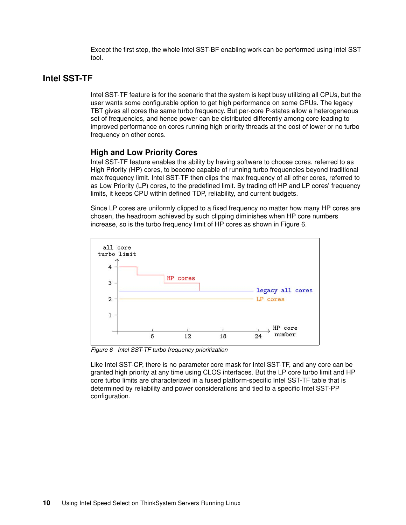Except the first step, the whole Intel SST-BF enabling work can be performed using Intel SST tool.

### **Intel SST-TF**

Intel SST-TF feature is for the scenario that the system is kept busy utilizing all CPUs, but the user wants some configurable option to get high performance on some CPUs. The legacy TBT gives all cores the same turbo frequency. But per-core P-states allow a heterogeneous set of frequencies, and hence power can be distributed differently among core leading to improved performance on cores running high priority threads at the cost of lower or no turbo frequency on other cores.

### **High and Low Priority Cores**

Intel SST-TF feature enables the ability by having software to choose cores, referred to as High Priority (HP) cores, to become capable of running turbo frequencies beyond traditional max frequency limit. Intel SST-TF then clips the max frequency of all other cores, referred to as Low Priority (LP) cores, to the predefined limit. By trading off HP and LP cores' frequency limits, it keeps CPU within defined TDP, reliability, and current budgets.

Since LP cores are uniformly clipped to a fixed frequency no matter how many HP cores are chosen, the headroom achieved by such clipping diminishes when HP core numbers increase, so is the turbo frequency limit of HP cores as shown in [Figure 6](#page-9-0).



<span id="page-9-0"></span>*Figure 6 Intel SST-TF turbo frequency prioritization*

Like Intel SST-CP, there is no parameter core mask for Intel SST-TF, and any core can be granted high priority at any time using CLOS interfaces. But the LP core turbo limit and HP core turbo limits are characterized in a fused platform-specific Intel SST-TF table that is determined by reliability and power considerations and tied to a specific Intel SST-PP configuration.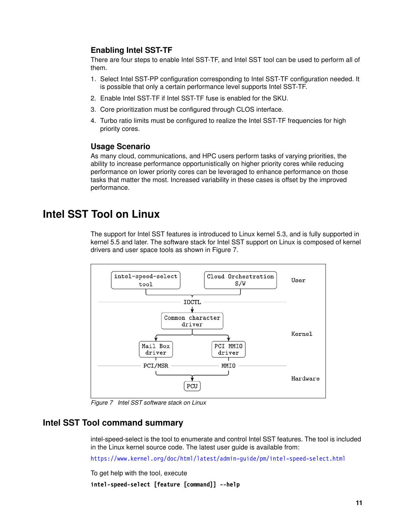### **Enabling Intel SST-TF**

There are four steps to enable Intel SST-TF, and Intel SST tool can be used to perform all of them.

- 1. Select Intel SST-PP configuration corresponding to Intel SST-TF configuration needed. It is possible that only a certain performance level supports Intel SST-TF.
- 2. Enable Intel SST-TF if Intel SST-TF fuse is enabled for the SKU.
- 3. Core prioritization must be configured through CLOS interface.
- 4. Turbo ratio limits must be configured to realize the Intel SST-TF frequencies for high priority cores.

### **Usage Scenario**

As many cloud, communications, and HPC users perform tasks of varying priorities, the ability to increase performance opportunistically on higher priority cores while reducing performance on lower priority cores can be leveraged to enhance performance on those tasks that matter the most. Increased variability in these cases is offset by the improved performance.

### <span id="page-10-0"></span>**Intel SST Tool on Linux**

The support for Intel SST features is introduced to Linux kernel 5.3, and is fully supported in kernel 5.5 and later. The software stack for Intel SST support on Linux is composed of kernel drivers and user space tools as shown in [Figure 7.](#page-10-1)



<span id="page-10-1"></span>*Figure 7 Intel SST software stack on Linux*

### **Intel SST Tool command summary**

intel-speed-select is the tool to enumerate and control Intel SST features. The tool is included in the Linux kernel source code. The latest user guide is available from:

<https://www.kernel.org/doc/html/latest/admin-guide/pm/intel-speed-select.html>

To get help with the tool, execute

```
intel-speed-select [feature [command]] --help
```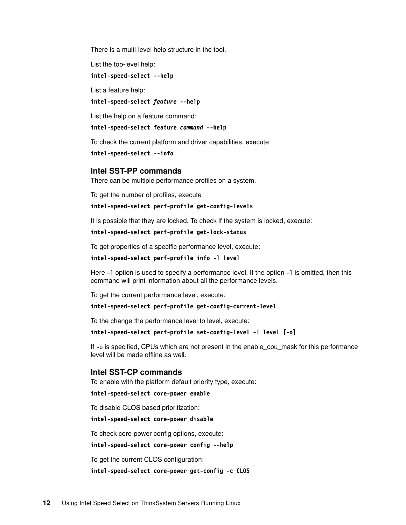There is a multi-level help structure in the tool.

List the top-level help:

#### **intel-speed-select --help**

List a feature help:

### **intel-speed-select** *feature* **--help**

List the help on a feature command:

#### **intel-speed-select feature** *command* **--help**

To check the current platform and driver capabilities, execute

#### **intel-speed-select --info**

### **Intel SST-PP commands**

There can be multiple performance profiles on a system.

To get the number of profiles, execute

#### **intel-speed-select perf-profile get-config-levels**

It is possible that they are locked. To check if the system is locked, execute:

#### **intel-speed-select perf-profile get-lock-status**

To get properties of a specific performance level, execute:

#### **intel-speed-select perf-profile info -l level**

Here -l option is used to specify a performance level. If the option -l is omitted, then this command will print information about all the performance levels.

To get the current performance level, execute:

### **intel-speed-select perf-profile get-config-current-level**

To the change the performance level to level, execute:

#### **intel-speed-select perf-profile set-config-level -l level [-o]**

If -o is specified, CPUs which are not present in the enable\_cpu\_mask for this performance level will be made offline as well.

### **Intel SST-CP commands**

To enable with the platform default priority type, execute:

**intel-speed-select core-power enable**

To disable CLOS based prioritization:

**intel-speed-select core-power disable**

To check core-power config options, execute:

**intel-speed-select core-power config --help**

To get the current CLOS configuration:

**intel-speed-select core-power get-config -c CLOS**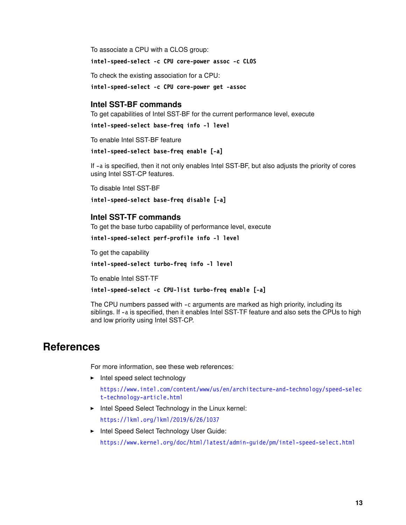To associate a CPU with a CLOS group:

**intel-speed-select -c CPU core-power assoc -c CLOS**

To check the existing association for a CPU:

**intel-speed-select -c CPU core-power get -assoc**

### **Intel SST-BF commands**

To get capabilities of Intel SST-BF for the current performance level, execute

```
intel-speed-select base-freq info -l level
```
To enable Intel SST-BF feature

```
intel-speed-select base-freq enable [-a]
```
If -a is specified, then it not only enables Intel SST-BF, but also adjusts the priority of cores using Intel SST-CP features.

To disable Intel SST-BF

**intel-speed-select base-freq disable [-a]**

### **Intel SST-TF commands**

To get the base turbo capability of performance level, execute

**intel-speed-select perf-profile info -l level**

To get the capability

**intel-speed-select turbo-freq info -l level**

To enable Intel SST-TF

**intel-speed-select -c CPU-list turbo-freq enable [-a]**

The CPU numbers passed with -c arguments are marked as high priority, including its siblings. If -a is specified, then it enables Intel SST-TF feature and also sets the CPUs to high and low priority using Intel SST-CP.

### <span id="page-12-0"></span>**References**

For more information, see these web references:

- Intel speed select technology

[https://www.intel.com/content/www/us/en/architecture-and-technology/speed-selec](https://www.intel.com/content/www/us/en/architecture-and-technology/speed-select-technology-article.html) [t-technology-article.html](https://www.intel.com/content/www/us/en/architecture-and-technology/speed-select-technology-article.html)

► Intel Speed Select Technology in the Linux kernel:

<https://lkml.org/lkml/2019/6/26/1037>

► Intel Speed Select Technology User Guide: <https://www.kernel.org/doc/html/latest/admin-guide/pm/intel-speed-select.html>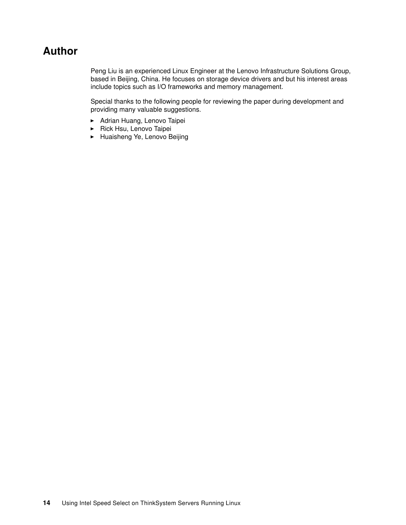### <span id="page-13-0"></span>**Author**

Peng Liu is an experienced Linux Engineer at the Lenovo Infrastructure Solutions Group, based in Beijing, China. He focuses on storage device drivers and but his interest areas include topics such as I/O frameworks and memory management.

Special thanks to the following people for reviewing the paper during development and providing many valuable suggestions.

- Adrian Huang, Lenovo Taipei
- ► Rick Hsu, Lenovo Taipei
- Huaisheng Ye, Lenovo Beijing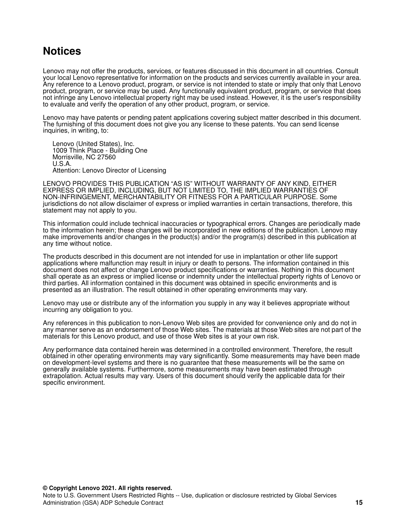### <span id="page-14-0"></span>**Notices**

Lenovo may not offer the products, services, or features discussed in this document in all countries. Consult your local Lenovo representative for information on the products and services currently available in your area. Any reference to a Lenovo product, program, or service is not intended to state or imply that only that Lenovo product, program, or service may be used. Any functionally equivalent product, program, or service that does not infringe any Lenovo intellectual property right may be used instead. However, it is the user's responsibility to evaluate and verify the operation of any other product, program, or service.

Lenovo may have patents or pending patent applications covering subject matter described in this document. The furnishing of this document does not give you any license to these patents. You can send license inquiries, in writing, to:

Lenovo (United States), Inc. 1009 Think Place - Building One Morrisville, NC 27560 U.S.A. Attention: Lenovo Director of Licensing

LENOVO PROVIDES THIS PUBLICATION "AS IS" WITHOUT WARRANTY OF ANY KIND, EITHER EXPRESS OR IMPLIED, INCLUDING, BUT NOT LIMITED TO, THE IMPLIED WARRANTIES OF NON-INFRINGEMENT, MERCHANTABILITY OR FITNESS FOR A PARTICULAR PURPOSE. Some jurisdictions do not allow disclaimer of express or implied warranties in certain transactions, therefore, this statement may not apply to you.

This information could include technical inaccuracies or typographical errors. Changes are periodically made to the information herein; these changes will be incorporated in new editions of the publication. Lenovo may make improvements and/or changes in the product(s) and/or the program(s) described in this publication at any time without notice.

The products described in this document are not intended for use in implantation or other life support applications where malfunction may result in injury or death to persons. The information contained in this document does not affect or change Lenovo product specifications or warranties. Nothing in this document shall operate as an express or implied license or indemnity under the intellectual property rights of Lenovo or third parties. All information contained in this document was obtained in specific environments and is presented as an illustration. The result obtained in other operating environments may vary.

Lenovo may use or distribute any of the information you supply in any way it believes appropriate without incurring any obligation to you.

Any references in this publication to non-Lenovo Web sites are provided for convenience only and do not in any manner serve as an endorsement of those Web sites. The materials at those Web sites are not part of the materials for this Lenovo product, and use of those Web sites is at your own risk.

Any performance data contained herein was determined in a controlled environment. Therefore, the result obtained in other operating environments may vary significantly. Some measurements may have been made on development-level systems and there is no guarantee that these measurements will be the same on generally available systems. Furthermore, some measurements may have been estimated through extrapolation. Actual results may vary. Users of this document should verify the applicable data for their specific environment.